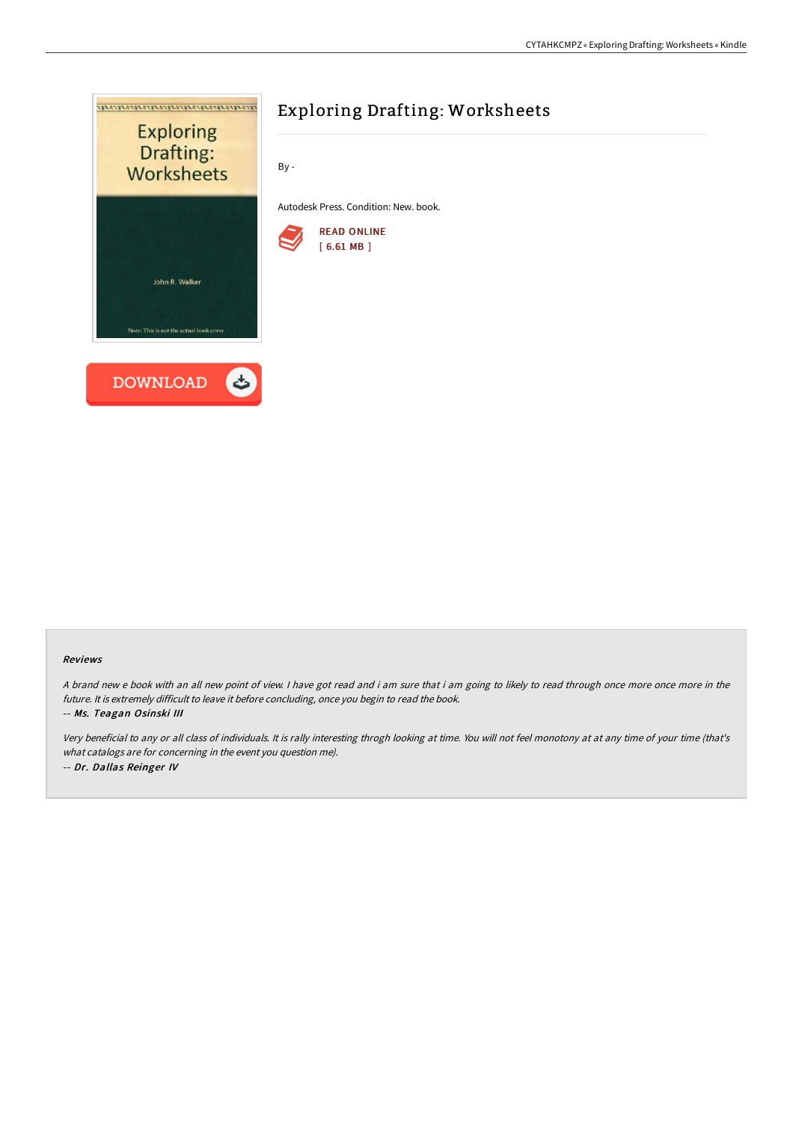

#### Reviews

<sup>A</sup> brand new <sup>e</sup> book with an all new point of view. <sup>I</sup> have got read and i am sure that i am going to likely to read through once more once more in the future. It is extremely difficult to leave it before concluding, once you begin to read the book.

#### -- Ms. Teagan Osinski III

Very beneficial to any or all class of individuals. It is rally interesting throgh looking at time. You will not feel monotony at at any time of your time (that's what catalogs are for concerning in the event you question me). -- Dr. Dallas Reinger IV